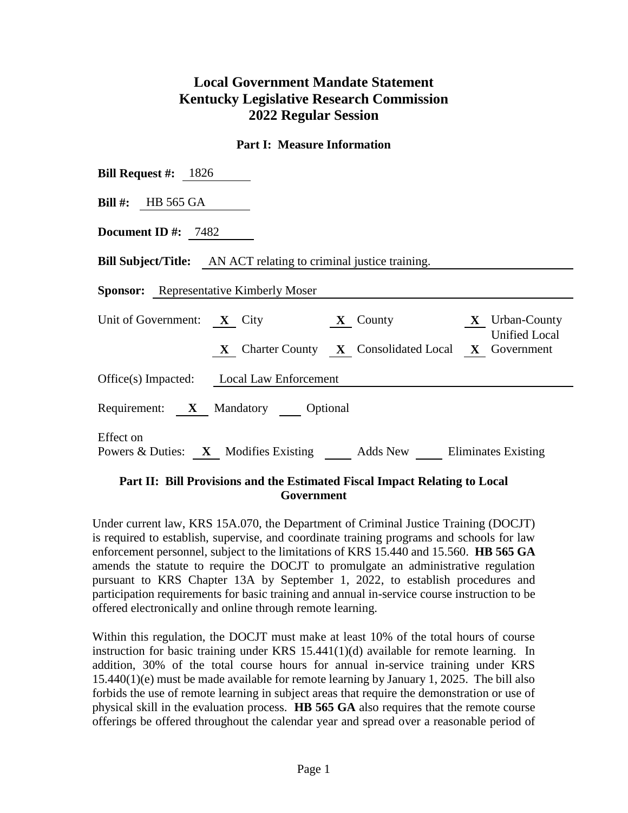## **Local Government Mandate Statement Kentucky Legislative Research Commission 2022 Regular Session**

## **Part I: Measure Information**

| <b>Bill Request #:</b> $1826$                                                    |  |  |  |  |  |  |
|----------------------------------------------------------------------------------|--|--|--|--|--|--|
| Bill #: HB 565 GA                                                                |  |  |  |  |  |  |
| Document ID #: $7482$                                                            |  |  |  |  |  |  |
| <b>Bill Subject/Title:</b> AN ACT relating to criminal justice training.         |  |  |  |  |  |  |
| <b>Sponsor:</b> Representative Kimberly Moser                                    |  |  |  |  |  |  |
| Unit of Government: $X$ City $X$ County $X$ Urban-County<br><b>Unified Local</b> |  |  |  |  |  |  |
| X Charter County X Consolidated Local X Government                               |  |  |  |  |  |  |
| Office(s) Impacted: Local Law Enforcement                                        |  |  |  |  |  |  |
| Requirement: X Mandatory Optional                                                |  |  |  |  |  |  |
| Effect on<br>Powers & Duties: X Modifies Existing Adds New Eliminates Existing   |  |  |  |  |  |  |

## **Part II: Bill Provisions and the Estimated Fiscal Impact Relating to Local Government**

Under current law, KRS 15A.070, the Department of Criminal Justice Training (DOCJT) is required to establish, supervise, and coordinate training programs and schools for law enforcement personnel, subject to the limitations of KRS 15.440 and 15.560. **HB 565 GA** amends the statute to require the DOCJT to promulgate an administrative regulation pursuant to KRS Chapter 13A by September 1, 2022, to establish procedures and participation requirements for basic training and annual in-service course instruction to be offered electronically and online through remote learning.

Within this regulation, the DOCJT must make at least 10% of the total hours of course instruction for basic training under KRS 15.441(1)(d) available for remote learning. In addition, 30% of the total course hours for annual in-service training under KRS 15.440(1)(e) must be made available for remote learning by January 1, 2025. The bill also forbids the use of remote learning in subject areas that require the demonstration or use of physical skill in the evaluation process. **HB 565 GA** also requires that the remote course offerings be offered throughout the calendar year and spread over a reasonable period of